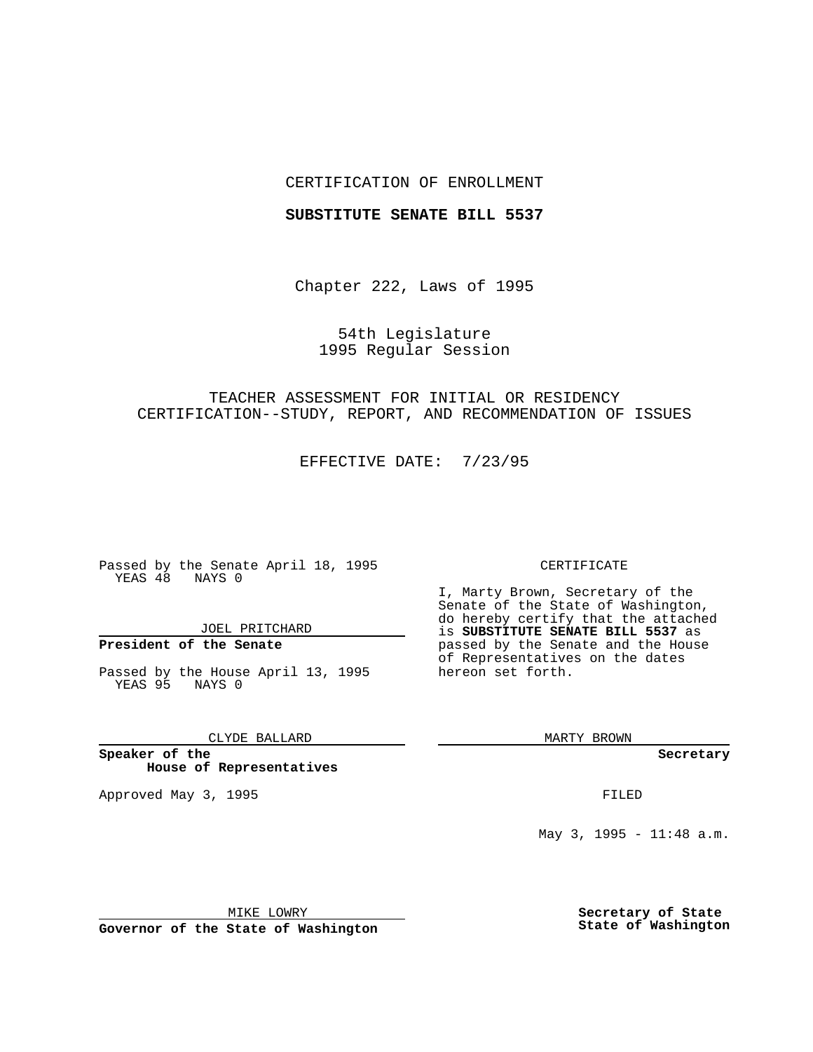### CERTIFICATION OF ENROLLMENT

#### **SUBSTITUTE SENATE BILL 5537**

Chapter 222, Laws of 1995

## 54th Legislature 1995 Regular Session

# TEACHER ASSESSMENT FOR INITIAL OR RESIDENCY CERTIFICATION--STUDY, REPORT, AND RECOMMENDATION OF ISSUES

EFFECTIVE DATE: 7/23/95

Passed by the Senate April 18, 1995 YEAS 48 NAYS 0

JOEL PRITCHARD

# **President of the Senate**

Passed by the House April 13, 1995 YEAS 95 NAYS 0

CLYDE BALLARD

**Speaker of the House of Representatives**

Approved May 3, 1995 **FILED** 

#### CERTIFICATE

I, Marty Brown, Secretary of the Senate of the State of Washington, do hereby certify that the attached is **SUBSTITUTE SENATE BILL 5537** as passed by the Senate and the House of Representatives on the dates hereon set forth.

MARTY BROWN

**Secretary**

May 3, 1995 - 11:48 a.m.

MIKE LOWRY

**Governor of the State of Washington**

**Secretary of State State of Washington**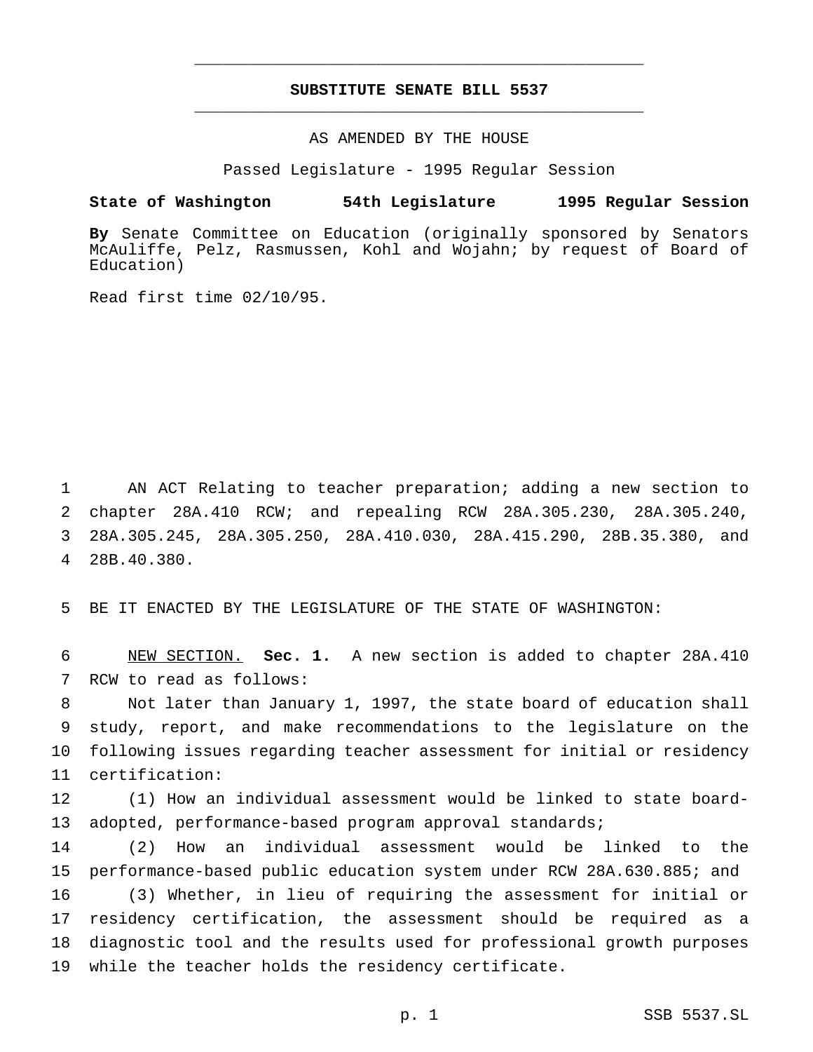# **SUBSTITUTE SENATE BILL 5537** \_\_\_\_\_\_\_\_\_\_\_\_\_\_\_\_\_\_\_\_\_\_\_\_\_\_\_\_\_\_\_\_\_\_\_\_\_\_\_\_\_\_\_\_\_\_\_

\_\_\_\_\_\_\_\_\_\_\_\_\_\_\_\_\_\_\_\_\_\_\_\_\_\_\_\_\_\_\_\_\_\_\_\_\_\_\_\_\_\_\_\_\_\_\_

### AS AMENDED BY THE HOUSE

Passed Legislature - 1995 Regular Session

#### **State of Washington 54th Legislature 1995 Regular Session**

**By** Senate Committee on Education (originally sponsored by Senators McAuliffe, Pelz, Rasmussen, Kohl and Wojahn; by request of Board of Education)

Read first time 02/10/95.

 AN ACT Relating to teacher preparation; adding a new section to chapter 28A.410 RCW; and repealing RCW 28A.305.230, 28A.305.240, 28A.305.245, 28A.305.250, 28A.410.030, 28A.415.290, 28B.35.380, and 28B.40.380.

BE IT ENACTED BY THE LEGISLATURE OF THE STATE OF WASHINGTON:

 NEW SECTION. **Sec. 1.** A new section is added to chapter 28A.410 RCW to read as follows:

 Not later than January 1, 1997, the state board of education shall study, report, and make recommendations to the legislature on the following issues regarding teacher assessment for initial or residency certification:

 (1) How an individual assessment would be linked to state board-adopted, performance-based program approval standards;

 (2) How an individual assessment would be linked to the performance-based public education system under RCW 28A.630.885; and (3) Whether, in lieu of requiring the assessment for initial or residency certification, the assessment should be required as a diagnostic tool and the results used for professional growth purposes while the teacher holds the residency certificate.